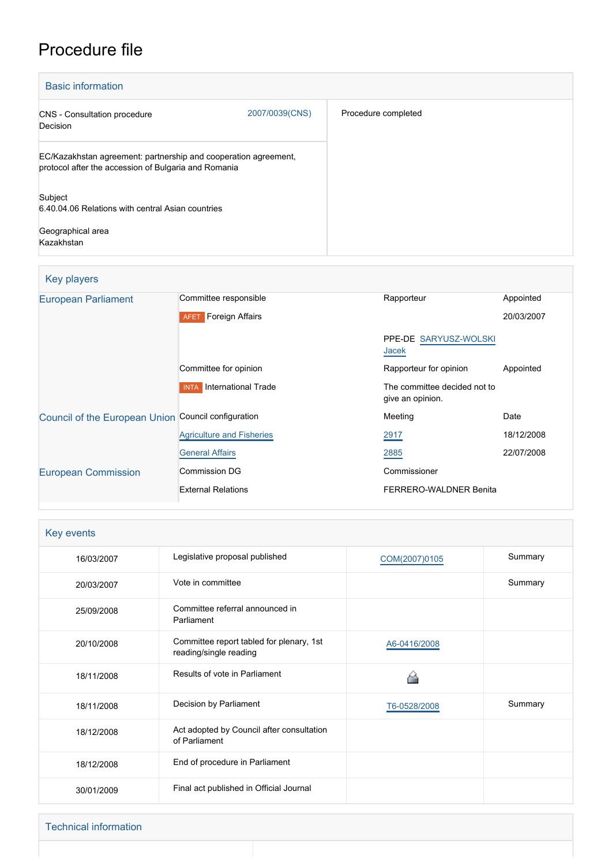# Procedure file

| <b>Basic information</b>                                                                                                |                |                     |
|-------------------------------------------------------------------------------------------------------------------------|----------------|---------------------|
| <b>CNS</b> - Consultation procedure<br>Decision                                                                         | 2007/0039(CNS) | Procedure completed |
| EC/Kazakhstan agreement: partnership and cooperation agreement,<br>protocol after the accession of Bulgaria and Romania |                |                     |
| Subject<br>6.40.04.06 Relations with central Asian countries                                                            |                |                     |
| Geographical area<br>Kazakhstan                                                                                         |                |                     |

### Key players

| <b>European Parliament</b>                          | Committee responsible              | Rapporteur                                       | Appointed  |
|-----------------------------------------------------|------------------------------------|--------------------------------------------------|------------|
|                                                     | <b>AFET</b> Foreign Affairs        |                                                  | 20/03/2007 |
|                                                     |                                    | PPE-DE SARYUSZ-WOLSKI<br>Jacek                   |            |
|                                                     | Committee for opinion              | Rapporteur for opinion                           | Appointed  |
|                                                     | International Trade<br><b>INTA</b> | The committee decided not to<br>give an opinion. |            |
| Council of the European Union Council configuration |                                    | Meeting                                          | Date       |
|                                                     | <b>Agriculture and Fisheries</b>   | 2917                                             | 18/12/2008 |
|                                                     | <b>General Affairs</b>             | 2885                                             | 22/07/2008 |
| <b>European Commission</b>                          | Commission DG                      | Commissioner                                     |            |
|                                                     | <b>External Relations</b>          | <b>FERRERO-WALDNER Benita</b>                    |            |

| Key events |                                                                    |               |         |
|------------|--------------------------------------------------------------------|---------------|---------|
| 16/03/2007 | Legislative proposal published                                     | COM(2007)0105 | Summary |
| 20/03/2007 | Vote in committee                                                  |               | Summary |
| 25/09/2008 | Committee referral announced in<br>Parliament                      |               |         |
| 20/10/2008 | Committee report tabled for plenary, 1st<br>reading/single reading | A6-0416/2008  |         |
| 18/11/2008 | Results of vote in Parliament                                      |               |         |
| 18/11/2008 | Decision by Parliament                                             | T6-0528/2008  | Summary |
| 18/12/2008 | Act adopted by Council after consultation<br>of Parliament         |               |         |
| 18/12/2008 | End of procedure in Parliament                                     |               |         |
| 30/01/2009 | Final act published in Official Journal                            |               |         |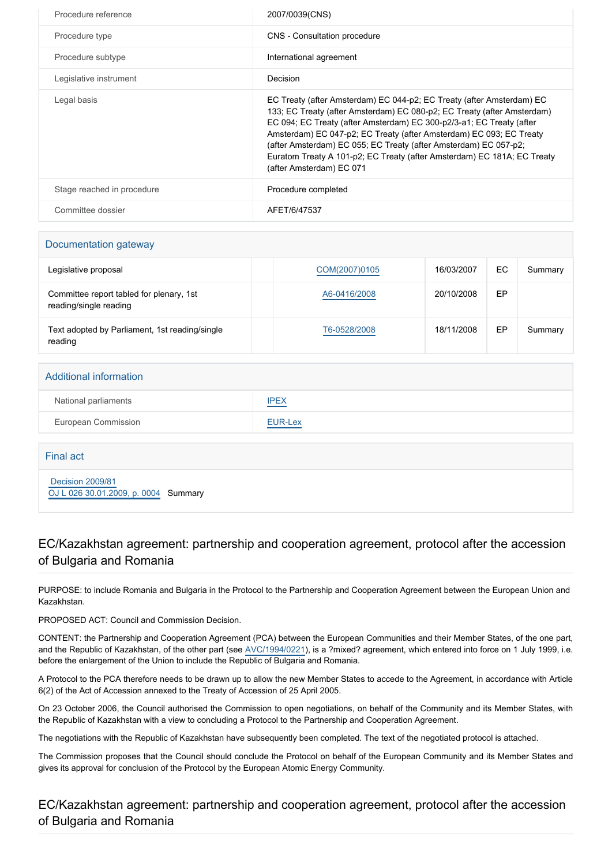| Procedure reference        | 2007/0039(CNS)                                                                                                                                                                                                                                                                                                                                                                                                                                                             |
|----------------------------|----------------------------------------------------------------------------------------------------------------------------------------------------------------------------------------------------------------------------------------------------------------------------------------------------------------------------------------------------------------------------------------------------------------------------------------------------------------------------|
|                            |                                                                                                                                                                                                                                                                                                                                                                                                                                                                            |
| Procedure type             | CNS - Consultation procedure                                                                                                                                                                                                                                                                                                                                                                                                                                               |
| Procedure subtype          | International agreement                                                                                                                                                                                                                                                                                                                                                                                                                                                    |
| Legislative instrument     | Decision                                                                                                                                                                                                                                                                                                                                                                                                                                                                   |
| Legal basis                | EC Treaty (after Amsterdam) EC 044-p2; EC Treaty (after Amsterdam) EC<br>133; EC Treaty (after Amsterdam) EC 080-p2; EC Treaty (after Amsterdam)<br>EC 094; EC Treaty (after Amsterdam) EC 300-p2/3-a1; EC Treaty (after<br>Amsterdam) EC 047-p2; EC Treaty (after Amsterdam) EC 093; EC Treaty<br>(after Amsterdam) EC 055; EC Treaty (after Amsterdam) EC 057-p2;<br>Euratom Treaty A 101-p2; EC Treaty (after Amsterdam) EC 181A; EC Treaty<br>(after Amsterdam) EC 071 |
| Stage reached in procedure | Procedure completed                                                                                                                                                                                                                                                                                                                                                                                                                                                        |
| Committee dossier          | AFET/6/47537                                                                                                                                                                                                                                                                                                                                                                                                                                                               |

## Documentation gateway

| Legislative proposal                                               | COM(2007)0105 | 16/03/2007 | EC | Summary |
|--------------------------------------------------------------------|---------------|------------|----|---------|
| Committee report tabled for plenary, 1st<br>reading/single reading | A6-0416/2008  | 20/10/2008 | EP |         |
| Text adopted by Parliament, 1st reading/single<br>reading          | T6-0528/2008  | 18/11/2008 | EP | Summary |

#### Additional information

| National parliaments | <b>IPEX</b>                                      |
|----------------------|--------------------------------------------------|
| European Commission  | EUR-Lex<br>and the control of the control of the |

### Final act

 [Decision 2009/81](https://eur-lex.europa.eu/smartapi/cgi/sga_doc?smartapi!celexplus!prod!CELEXnumdoc&lg=EN&numdoc=32009D0081) [OJ L 026 30.01.2009, p. 0004](https://eur-lex.europa.eu/legal-content/EN/TXT/?uri=OJ:L:2009:026:TOC) Summary

### EC/Kazakhstan agreement: partnership and cooperation agreement, protocol after the accession of Bulgaria and Romania

PURPOSE: to include Romania and Bulgaria in the Protocol to the Partnership and Cooperation Agreement between the European Union and Kazakhstan.

PROPOSED ACT: Council and Commission Decision.

CONTENT: the Partnership and Cooperation Agreement (PCA) between the European Communities and their Member States, of the one part, and the Republic of Kazakhstan, of the other part (see [AVC/1994/0221\)](http://www.europarl.europa.eu/oeil/FindByProcnum.do?lang=en&procnum=AVC/1994/0221), is a ?mixed? agreement, which entered into force on 1 July 1999, i.e. before the enlargement of the Union to include the Republic of Bulgaria and Romania.

A Protocol to the PCA therefore needs to be drawn up to allow the new Member States to accede to the Agreement, in accordance with Article 6(2) of the Act of Accession annexed to the Treaty of Accession of 25 April 2005.

On 23 October 2006, the Council authorised the Commission to open negotiations, on behalf of the Community and its Member States, with the Republic of Kazakhstan with a view to concluding a Protocol to the Partnership and Cooperation Agreement.

The negotiations with the Republic of Kazakhstan have subsequently been completed. The text of the negotiated protocol is attached.

The Commission proposes that the Council should conclude the Protocol on behalf of the European Community and its Member States and gives its approval for conclusion of the Protocol by the European Atomic Energy Community.

EC/Kazakhstan agreement: partnership and cooperation agreement, protocol after the accession of Bulgaria and Romania